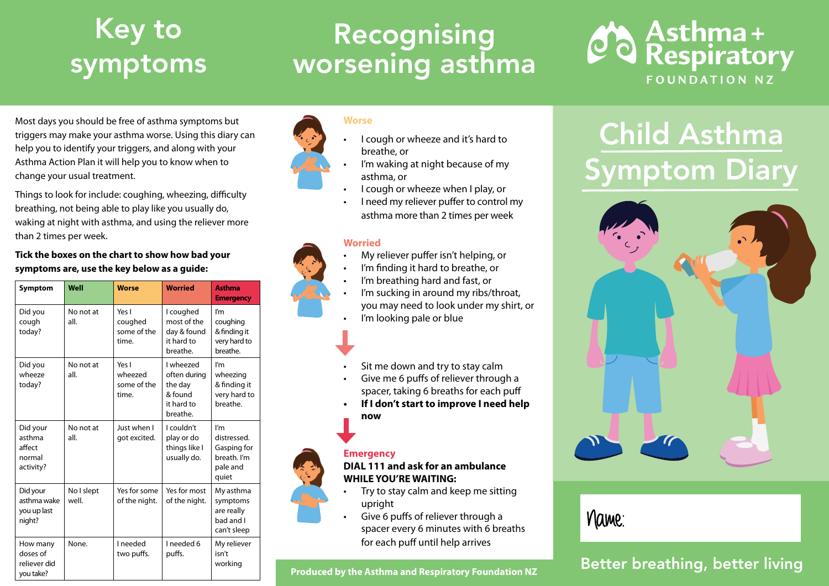## Key to symptoms

## Recognising worsening asthma



Most days you should be free of asthma symptoms but triggers may make your asthma worse. Using this diary can help you to identify your triggers, and along with your Asthma Action Plan it will help you to know when to change your usual treatment.

Things to look for include: coughing, wheezing, difficulty breathing, not being able to play like you usually do, waking at night with asthma, and using the reliever more than 2 times per week.

**Tick the boxes on the chart to show how bad your symptoms are, use the key below as a guide:** 

| Symptom                                             | Well                | <b>Worse</b>                             | <b>Worried</b>                                                            | <b>Asthma</b><br><b>Emergency</b>                                     |  |  |  |
|-----------------------------------------------------|---------------------|------------------------------------------|---------------------------------------------------------------------------|-----------------------------------------------------------------------|--|--|--|
| Did you<br>cough<br>today?                          | No not at<br>all.   | Yes I<br>coughed<br>some of the<br>time. | I coughed<br>most of the<br>dav & found<br>it hard to<br>breathe.         | I'm<br>coughing<br>& finding it<br>very hard to<br>breathe.           |  |  |  |
| Did you<br>wheeze<br>today?                         | No not at<br>all.   | Yes I<br>wheezed<br>some of the<br>time. | I wheezed<br>often during<br>the day<br>& found<br>it hard to<br>breathe. | l'm<br>wheezing<br>& finding it<br>very hard to<br>breathe.           |  |  |  |
| Did your<br>asthma<br>affect<br>normal<br>activity? | No not at<br>all.   | Just when I<br>got excited.              | I couldn't<br>play or do<br>things like I<br>usually do.                  | I'm<br>distressed.<br>Gasping for<br>breath. I'm<br>pale and<br>quiet |  |  |  |
| Did your<br>asthma wake<br>you up last<br>night?    | No I slept<br>well. | Yes for some<br>of the night.            | Yes for most<br>of the night.                                             | My asthma<br>symptoms<br>are really<br>bad and I<br>can't sleep       |  |  |  |
| How many<br>doses of<br>reliever did<br>vou take?   | None.               | I needed<br>two puffs.                   | I needed 6<br>puffs.                                                      | My reliever<br>isn't<br>working                                       |  |  |  |

#### **Worse**

- I cough or wheeze and it's hard to breathe, or
- I'm waking at night because of my asthma, or
- I cough or wheeze when I play, or
- I need my reliever puffer to control my asthma more than 2 times per week

#### **Worried**

- My reliever puffer isn't helping, or
- I'm finding it hard to breathe, or
- I'm breathing hard and fast, or
- I'm sucking in around my ribs/throat, you may need to look under my shirt, or I'm looking pale or blue
- Sit me down and try to stay calm
- Give me 6 puffs of reliever through a spacer, taking 6 breaths for each puff
- **• If I don't start to improve I need help now**

#### **Emergency**

**DIAL 111 and ask for an ambulance WHILE YOU'RE WAITING:**

- Try to stay calm and keep me sitting upright
- Give 6 puffs of reliever through a spacer every 6 minutes with 6 breaths for each puff until help arrives

#### **Produced by the Asthma and Respiratory Foundation NZ**

# Child Asthma Symptom Diary



### Name:

### Better breathing, better living